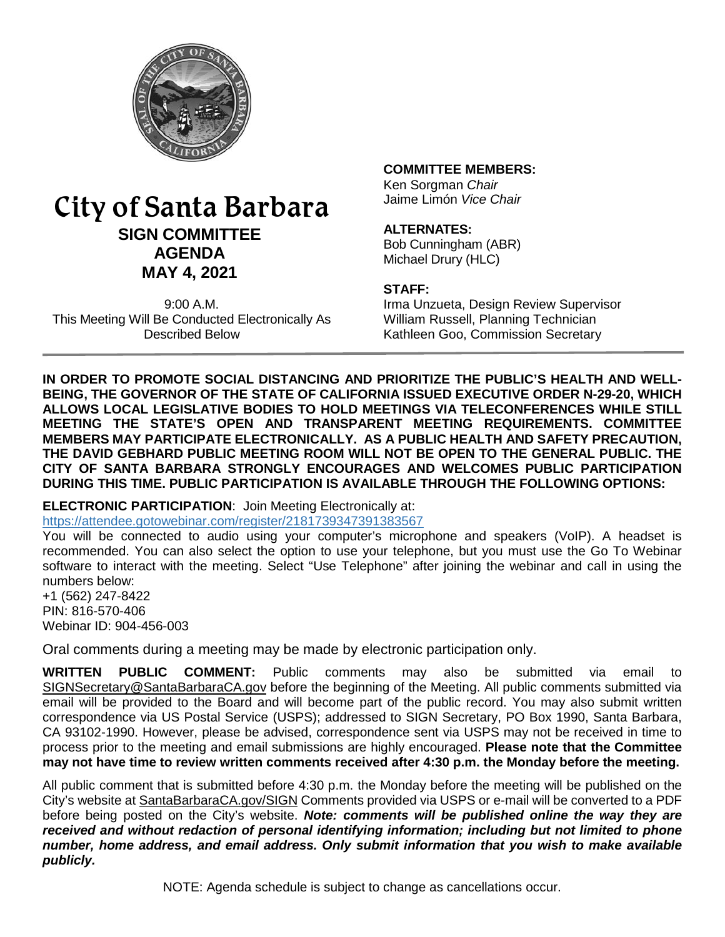

# City of Santa Barbara **SIGN COMMITTEE AGENDA MAY 4, 2021**

9:00 A.M. This Meeting Will Be Conducted Electronically As Described Below

#### **COMMITTEE MEMBERS:**

Ken Sorgman *Chair* Jaime Limón *Vice Chair*

#### **ALTERNATES:**

Bob Cunningham (ABR) Michael Drury (HLC)

#### **STAFF:**

Irma Unzueta, Design Review Supervisor William Russell, Planning Technician Kathleen Goo, Commission Secretary

**IN ORDER TO PROMOTE SOCIAL DISTANCING AND PRIORITIZE THE PUBLIC'S HEALTH AND WELL-BEING, THE GOVERNOR OF THE STATE OF CALIFORNIA ISSUED EXECUTIVE ORDER N-29-20, WHICH ALLOWS LOCAL LEGISLATIVE BODIES TO HOLD MEETINGS VIA TELECONFERENCES WHILE STILL MEETING THE STATE'S OPEN AND TRANSPARENT MEETING REQUIREMENTS. COMMITTEE MEMBERS MAY PARTICIPATE ELECTRONICALLY. AS A PUBLIC HEALTH AND SAFETY PRECAUTION, THE DAVID GEBHARD PUBLIC MEETING ROOM WILL NOT BE OPEN TO THE GENERAL PUBLIC. THE CITY OF SANTA BARBARA STRONGLY ENCOURAGES AND WELCOMES PUBLIC PARTICIPATION DURING THIS TIME. PUBLIC PARTICIPATION IS AVAILABLE THROUGH THE FOLLOWING OPTIONS:**

**ELECTRONIC PARTICIPATION**: Join Meeting Electronically at: <https://attendee.gotowebinar.com/register/2181739347391383567>

You will be connected to audio using your computer's microphone and speakers (VoIP). A headset is recommended. You can also select the option to use your telephone, but you must use the Go To Webinar software to interact with the meeting. Select "Use Telephone" after joining the webinar and call in using the numbers below:

+1 (562) 247-8422 PIN: 816-570-406 Webinar ID: 904-456-003

Oral comments during a meeting may be made by electronic participation only.

**WRITTEN PUBLIC COMMENT:** Public comments may also be submitted via email to [SIGNSecretary@SantaBarbaraCA.gov](mailto:SIGNSecretary@SantaBarbaraCA.gov) before the beginning of the Meeting. All public comments submitted via email will be provided to the Board and will become part of the public record. You may also submit written correspondence via US Postal Service (USPS); addressed to SIGN Secretary, PO Box 1990, Santa Barbara, CA 93102-1990. However, please be advised, correspondence sent via USPS may not be received in time to process prior to the meeting and email submissions are highly encouraged. **Please note that the Committee may not have time to review written comments received after 4:30 p.m. the Monday before the meeting.**

All public comment that is submitted before 4:30 p.m. the Monday before the meeting will be published on the City's website at [SantaBarbaraCA.gov/SIGN](http://www.santabarbaraca.gov/SIGN) Comments provided via USPS or e-mail will be converted to a PDF before being posted on the City's website. *Note: comments will be published online the way they are received and without redaction of personal identifying information; including but not limited to phone number, home address, and email address. Only submit information that you wish to make available publicly.*

NOTE: Agenda schedule is subject to change as cancellations occur.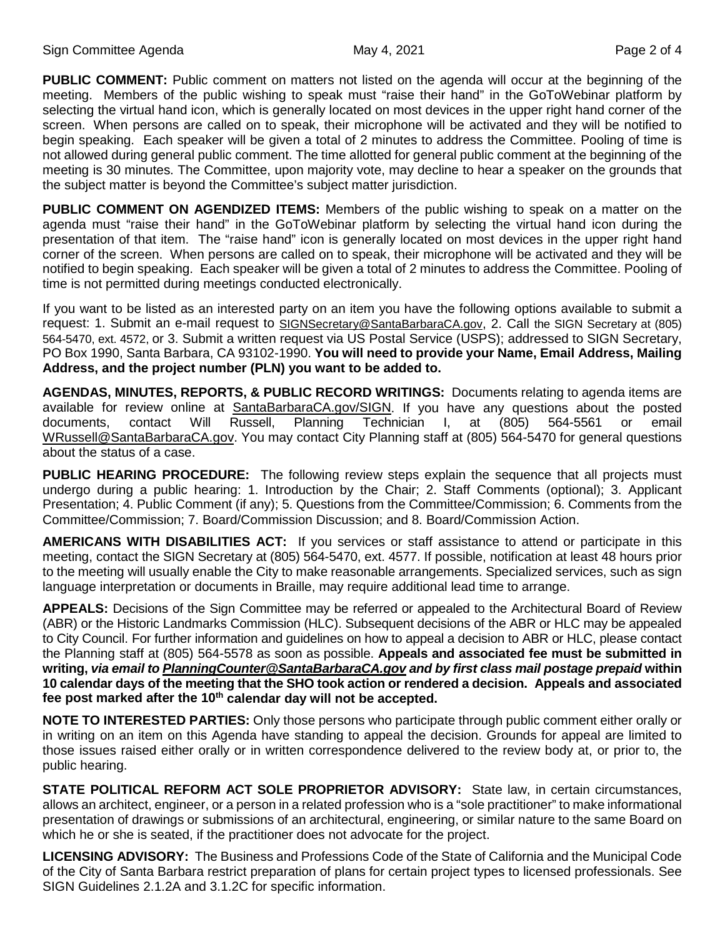**PUBLIC COMMENT:** Public comment on matters not listed on the agenda will occur at the beginning of the meeting. Members of the public wishing to speak must "raise their hand" in the GoToWebinar platform by selecting the virtual hand icon, which is generally located on most devices in the upper right hand corner of the screen. When persons are called on to speak, their microphone will be activated and they will be notified to begin speaking. Each speaker will be given a total of 2 minutes to address the Committee. Pooling of time is not allowed during general public comment. The time allotted for general public comment at the beginning of the meeting is 30 minutes. The Committee, upon majority vote, may decline to hear a speaker on the grounds that the subject matter is beyond the Committee's subject matter jurisdiction.

**PUBLIC COMMENT ON AGENDIZED ITEMS:** Members of the public wishing to speak on a matter on the agenda must "raise their hand" in the GoToWebinar platform by selecting the virtual hand icon during the presentation of that item. The "raise hand" icon is generally located on most devices in the upper right hand corner of the screen. When persons are called on to speak, their microphone will be activated and they will be notified to begin speaking. Each speaker will be given a total of 2 minutes to address the Committee. Pooling of time is not permitted during meetings conducted electronically.

If you want to be listed as an interested party on an item you have the following options available to submit a request: 1. Submit an e-mail request to [SIGNSecretary@SantaBarbaraCA.gov,](mailto:SIGNSecretary@SantaBarbaraCA.gov) 2. Call the SIGN Secretary at (805) 564-5470, ext. 4572, or 3. Submit a written request via US Postal Service (USPS); addressed to SIGN Secretary, PO Box 1990, Santa Barbara, CA 93102-1990. **You will need to provide your Name, Email Address, Mailing Address, and the project number (PLN) you want to be added to.**

**AGENDAS, MINUTES, REPORTS, & PUBLIC RECORD WRITINGS:** Documents relating to agenda items are available for review online at [SantaBarbaraCA.gov/SIGN.](http://www.santabarbaraca.gov/SIGN) If you have any questions about the posted<br>documents, contact Will Russell, Planning Technician I, at (805) 564-5561 or email documents, contact Will Russell, Planning Technician I, at (805) 564-5561 or email [WRussell@SantaBarbaraCA.gov.](mailto:WRussell@SantaBarbaraCA.gov) You may contact City Planning staff at (805) 564-5470 for general questions about the status of a case.

**PUBLIC HEARING PROCEDURE:** The following review steps explain the sequence that all projects must undergo during a public hearing: 1. Introduction by the Chair; 2. Staff Comments (optional); 3. Applicant Presentation; 4. Public Comment (if any); 5. Questions from the Committee/Commission; 6. Comments from the Committee/Commission; 7. Board/Commission Discussion; and 8. Board/Commission Action.

**AMERICANS WITH DISABILITIES ACT:** If you services or staff assistance to attend or participate in this meeting, contact the SIGN Secretary at (805) 564-5470, ext. 4577. If possible, notification at least 48 hours prior to the meeting will usually enable the City to make reasonable arrangements. Specialized services, such as sign language interpretation or documents in Braille, may require additional lead time to arrange.

**APPEALS:** Decisions of the Sign Committee may be referred or appealed to the Architectural Board of Review (ABR) or the Historic Landmarks Commission (HLC). Subsequent decisions of the ABR or HLC may be appealed to City Council. For further information and guidelines on how to appeal a decision to ABR or HLC, please contact the Planning staff at (805) 564-5578 as soon as possible. **Appeals and associated fee must be submitted in writing,** *via email t[o PlanningCounter@SantaBarbaraCA.gov](mailto:PlanningCounter@SantaBarbaraCA.gov) and by first class mail postage prepaid* **within 10 calendar days of the meeting that the SHO took action or rendered a decision. Appeals and associated fee post marked after the 10th calendar day will not be accepted.** 

**NOTE TO INTERESTED PARTIES:** Only those persons who participate through public comment either orally or in writing on an item on this Agenda have standing to appeal the decision. Grounds for appeal are limited to those issues raised either orally or in written correspondence delivered to the review body at, or prior to, the public hearing.

**STATE POLITICAL REFORM ACT SOLE PROPRIETOR ADVISORY:** State law, in certain circumstances, allows an architect, engineer, or a person in a related profession who is a "sole practitioner" to make informational presentation of drawings or submissions of an architectural, engineering, or similar nature to the same Board on which he or she is seated, if the practitioner does not advocate for the project.

**LICENSING ADVISORY:** The Business and Professions Code of the State of California and the Municipal Code of the City of Santa Barbara restrict preparation of plans for certain project types to licensed professionals. See SIGN Guidelines 2.1.2A and 3.1.2C for specific information.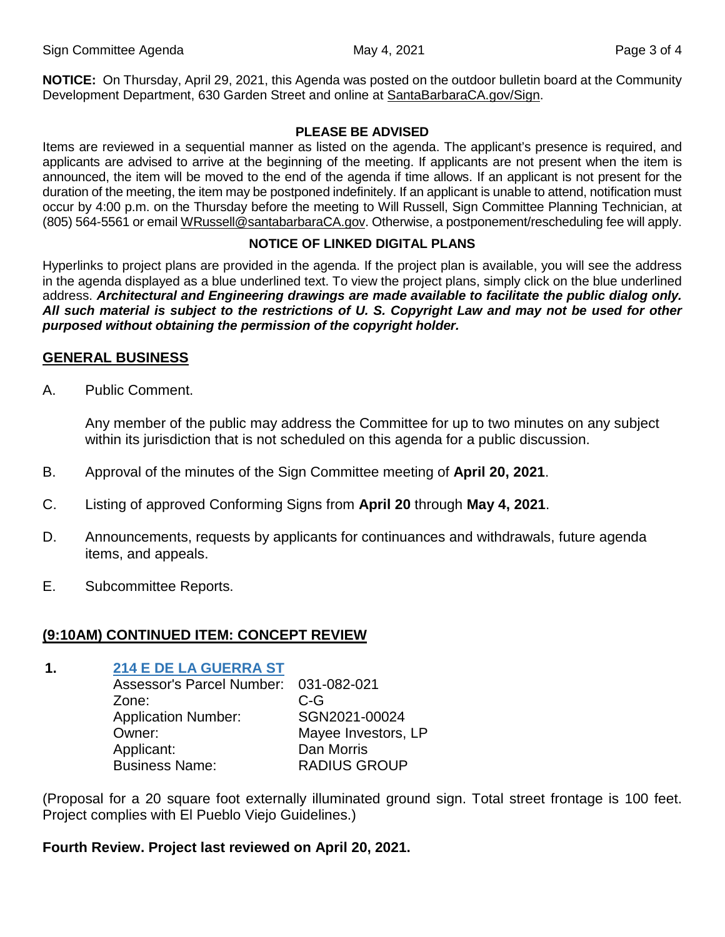**NOTICE:** On Thursday, April 29, 2021, this Agenda was posted on the outdoor bulletin board at the Community Development Department, 630 Garden Street and online at [SantaBarbaraCA.gov/Sign.](http://www.santabarbaraca.gov/Sign)

#### **PLEASE BE ADVISED**

Items are reviewed in a sequential manner as listed on the agenda. The applicant's presence is required, and applicants are advised to arrive at the beginning of the meeting. If applicants are not present when the item is announced, the item will be moved to the end of the agenda if time allows. If an applicant is not present for the duration of the meeting, the item may be postponed indefinitely. If an applicant is unable to attend, notification must occur by 4:00 p.m. on the Thursday before the meeting to Will Russell, Sign Committee Planning Technician, at (805) 564-5561 or emai[l WRussell@santabarbaraCA.gov.](mailto:WRussell@santabarbaraCA.gov) Otherwise, a postponement/rescheduling fee will apply.

### **NOTICE OF LINKED DIGITAL PLANS**

Hyperlinks to project plans are provided in the agenda. If the project plan is available, you will see the address in the agenda displayed as a blue underlined text. To view the project plans, simply click on the blue underlined address. *Architectural and Engineering drawings are made available to facilitate the public dialog only. All such material is subject to the restrictions of U. S. Copyright Law and may not be used for other purposed without obtaining the permission of the copyright holder.*

## **GENERAL BUSINESS**

A. Public Comment.

Any member of the public may address the Committee for up to two minutes on any subject within its jurisdiction that is not scheduled on this agenda for a public discussion.

- B. Approval of the minutes of the Sign Committee meeting of **April 20, 2021**.
- C. Listing of approved Conforming Signs from **April 20** through **May 4, 2021**.
- D. Announcements, requests by applicants for continuances and withdrawals, future agenda items, and appeals.
- E. Subcommittee Reports.

## **(9:10AM) CONTINUED ITEM: CONCEPT REVIEW**

# **1. [214 E DE LA GUERRA ST](https://www.santabarbaraca.gov/civicax/filebank/blobdload.aspx?BlobID=235826)**

Assessor's Parcel Number: 031-082-021 Zone: C-G Application Number: SGN2021-00024 Owner: Mayee Investors, LP Applicant: Dan Morris Business Name: RADIUS GROUP

(Proposal for a 20 square foot externally illuminated ground sign. Total street frontage is 100 feet. Project complies with El Pueblo Viejo Guidelines.)

## **Fourth Review. Project last reviewed on April 20, 2021.**